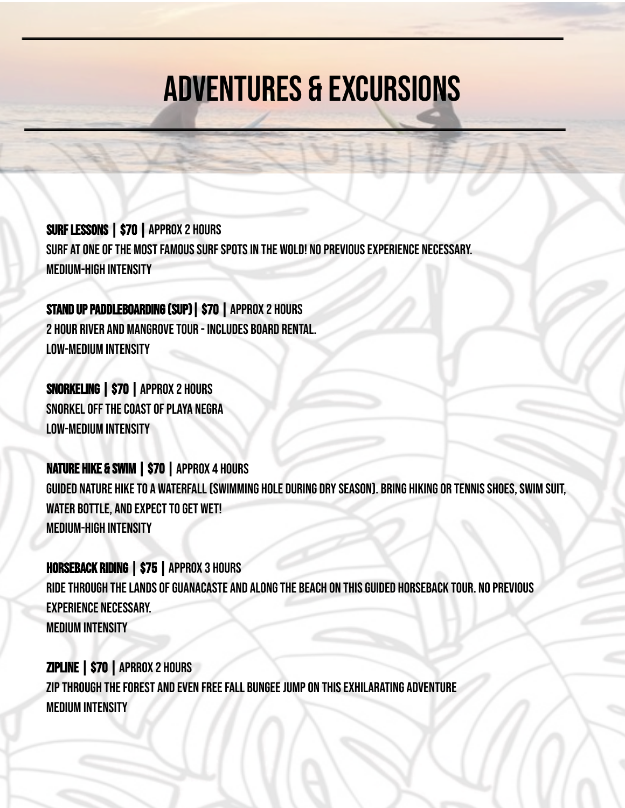## Adventures & Excursions

SURF LESSONS | \$70 | APPROX 2 HOURS SURF AT ONE OF THE MOST FAMOUS SURF SPOTS IN THE WOLD! NO PREVIOUS EXPERIENCE NECESSARY. medium-high intensity

STAND UP PADDLEBOARDING (SUP) | \$70 | APPROX 2 HOURS 2 HOUR RIVER AND MANGROVE TOUR - INCLUDES BOARD RENTAL. low-medium intensity

Snorkeling | \$70 | Approx 2 hours SNORKEL OFF THE COAST OF PLAYA NEGRA Low-medium intensity

NAture Hike & Swim | \$70 | Approx 4 hours GUIDED NATURE HIKE TO A WATERFALL (SWIMMING HOLE DURING DRY SEASON). BRING HIKING OR TENNIS SHOES, SWIM SUIT, WATER BOTTLE, AND EXPECT TO GET WET! Medium-high intensity

Horseback Riding | \$75 | Approx 3 hours RIDE THROUGH THE LANDS OF GUANACASTE AND ALONG THE BEACH ON THIS GUIDED HORSEBACK TOUR. NO PREVIOUS experience necessary. Medium Intensity

Zipline | \$70 | aprrox 2 hours ZIP THROUGH THE FOREST AND EVEN FREE FALL BUNGEE JUMP ON THIS EXHILARATING ADVENTURE MEdium intensity